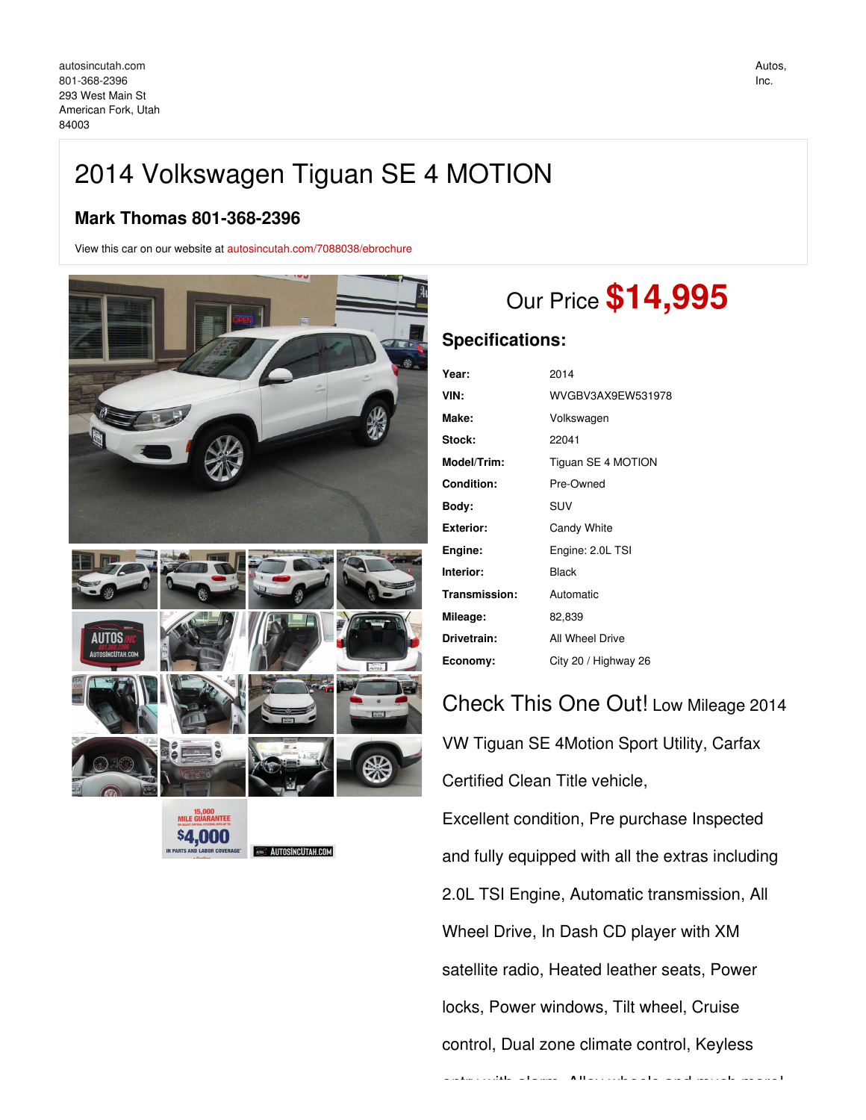## 2014 Volkswagen Tiguan SE 4 MOTION

## **Mark Thomas 801-368-2396**

View this car on our website at [autosincutah.com/7088038/ebrochure](https://autosincutah.com/vehicle/7088038/2014-volkswagen-tiguan-se-4-motion-american-fork-utah-84003/7088038/ebrochure)



\$4,000 **I AROR COVERA** 

**EXAUTOSINCUTAH.COM** 

# Our Price **\$14,995**

## **Specifications:**

| Year:             | 2014                 |
|-------------------|----------------------|
| VIN:              | WVGBV3AX9EW531978    |
| Make:             | Volkswagen           |
| Stock:            | 22041                |
| Model/Trim:       | Tiguan SE 4 MOTION   |
| <b>Condition:</b> | Pre-Owned            |
| Body:             | SUV                  |
| Exterior:         | Candy White          |
| Engine:           | Engine: 2.0L TSI     |
| Interior:         | Black                |
| Transmission:     | Automatic            |
| Mileage:          | 82,839               |
| Drivetrain:       | All Wheel Drive      |
| Economy:          | City 20 / Highway 26 |

## Check This One Out! Low Mileage 2014 VW Tiguan SE 4Motion Sport Utility, Carfax Certified Clean Title vehicle, Excellent condition, Pre purchase Inspected and fully equipped with all the extras including 2.0L TSI Engine, Automatic transmission, All Wheel Drive, In Dash CD player with XM satellite radio, Heated leather seats, Power locks, Power windows, Tilt wheel, Cruise control, Dual zone climate control, Keyless entry with alarm, Alloy wheels and much more!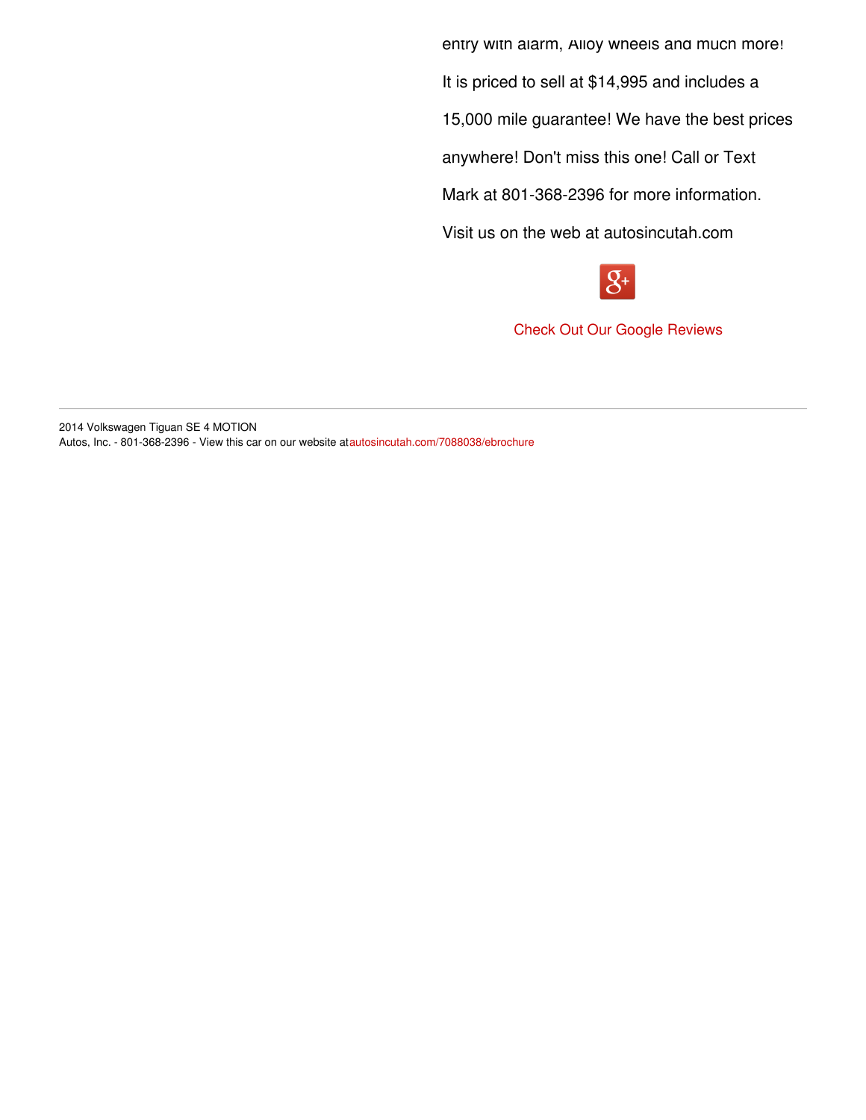entry with alarm, Alloy wheels and much more! It is priced to sell at \$14,995 and includes a 15,000 mile guarantee! We have the best prices anywhere! Don't miss this one! Call or Text Mark at 801-368-2396 for more information. Visit us on the web at autosincutah.com



Check Out Our Google [Reviews](https://goo.gl/8uQi3A)

2014 Volkswagen Tiguan SE 4 MOTION Autos, Inc. - 801-368-2396 - View this car on our website at[autosincutah.com/7088038/ebrochure](https://autosincutah.com/vehicle/7088038/2014-volkswagen-tiguan-se-4-motion-american-fork-utah-84003/7088038/ebrochure)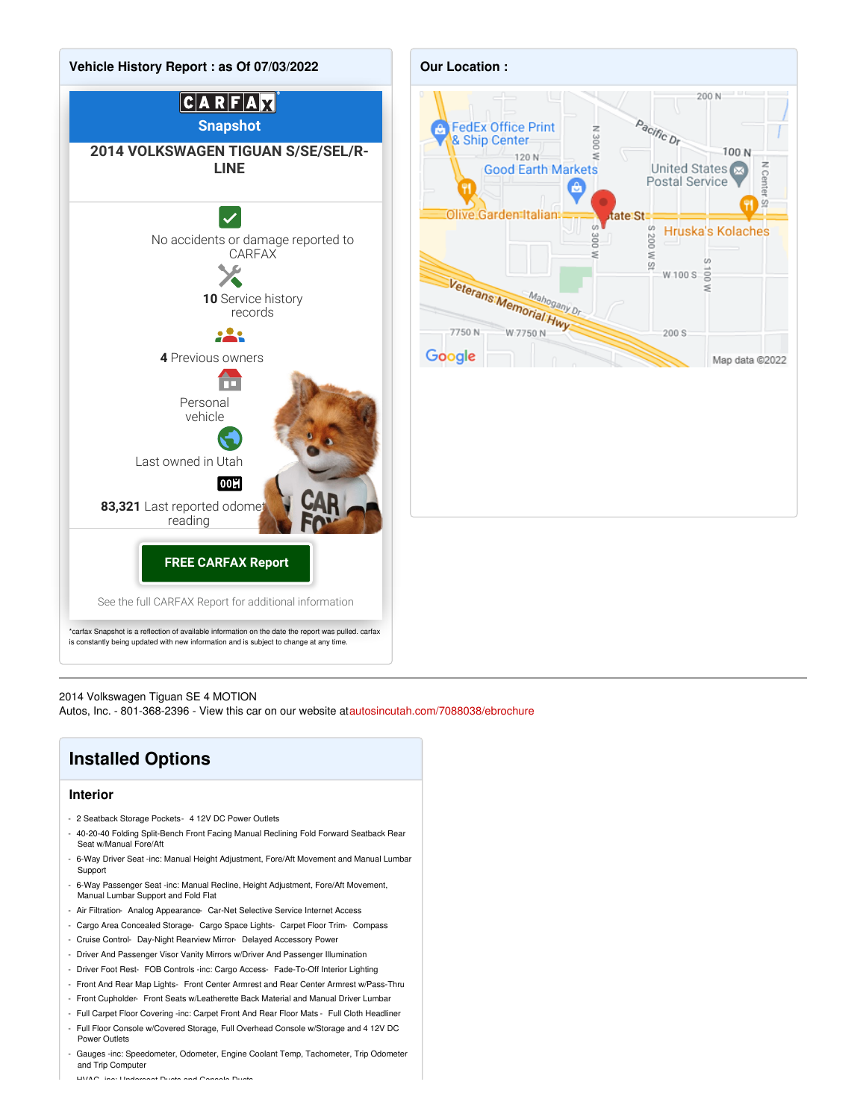



### 2014 Volkswagen Tiguan SE 4 MOTION

Autos, Inc. - 801-368-2396 - View this car on our website at[autosincutah.com/7088038/ebrochure](https://autosincutah.com/vehicle/7088038/2014-volkswagen-tiguan-se-4-motion-american-fork-utah-84003/7088038/ebrochure)

## **Installed Options**

### **Interior**

- 2 Seatback Storage Pockets- 4 12V DC Power Outlets
- 40-20-40 Folding Split-Bench Front Facing Manual Reclining Fold Forward Seatback Rear Seat w/Manual Fore/Aft
- 6-Way Driver Seat -inc: Manual Height Adjustment, Fore/Aft Movement and Manual Lumbar **Support**
- 6-Way Passenger Seat -inc: Manual Recline, Height Adjustment, Fore/Aft Movement, Manual Lumbar Support and Fold Flat
- Air Filtration- Analog Appearance- Car-Net Selective Service Internet Access
- Cargo Area Concealed Storage- Cargo Space Lights- Carpet Floor Trim- Compass
- Cruise Control- Day-Night Rearview Mirror- Delayed Accessory Power
- Driver And Passenger Visor Vanity Mirrors w/Driver And Passenger Illumination
- Driver Foot Rest- FOB Controls -inc: Cargo Access- Fade-To-Off Interior Lighting
- Front And Rear Map Lights- Front Center Armrest and Rear Center Armrest w/Pass-Thru
- Front Cupholder- Front Seats w/Leatherette Back Material and Manual Driver Lumbar
- Full Carpet Floor Covering -inc: Carpet Front And Rear Floor Mats Full Cloth Headliner
- Full Floor Console w/Covered Storage, Full Overhead Console w/Storage and 4 12V DC Power Outlets
- Gauges -inc: Speedometer, Odometer, Engine Coolant Temp, Tachometer, Trip Odometer and Trip Computer

- HVAC -inc: Underseat Ducts and Console Ducts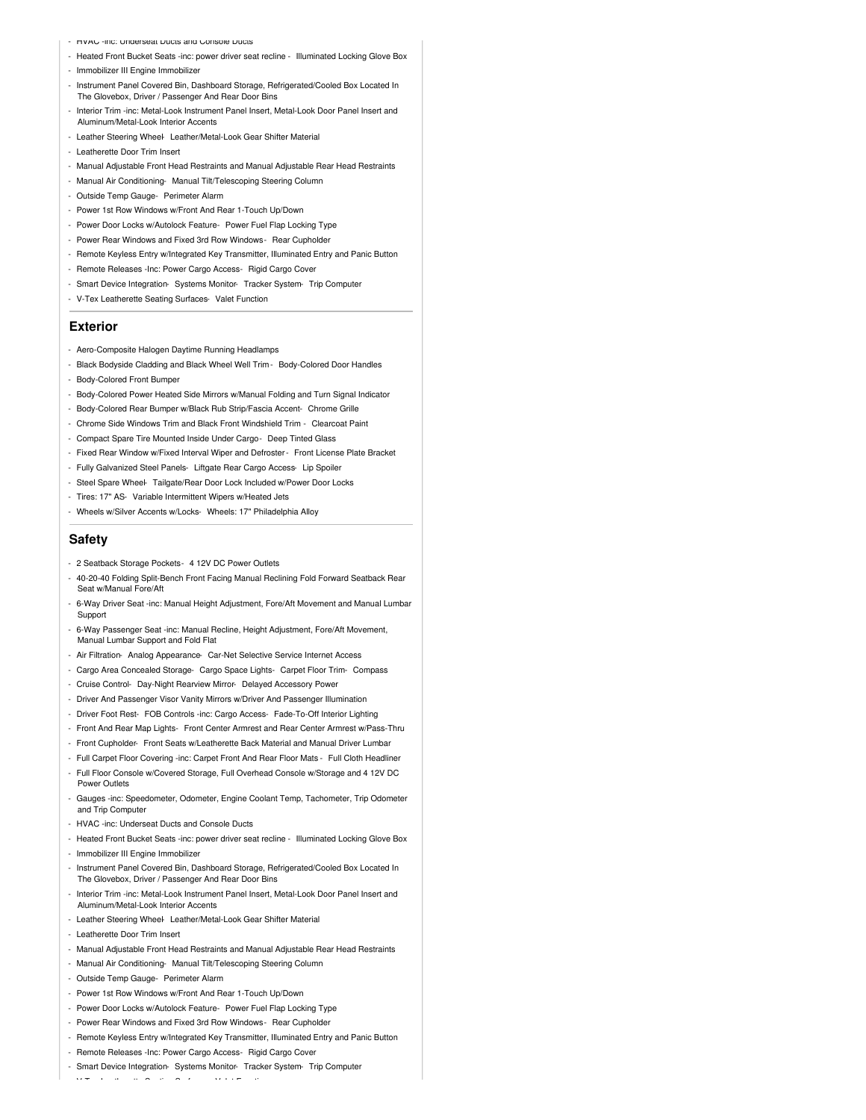- HVAC -inc: Underseat Ducts and Console Ducts
- Heated Front Bucket Seats -inc: power driver seat recline Illuminated Locking Glove Box
- Immobilizer III Engine Immobilizer
- Instrument Panel Covered Bin, Dashboard Storage, Refrigerated/Cooled Box Located In The Glovebox, Driver / Passenger And Rear Door Bins
- Interior Trim -inc: Metal-Look Instrument Panel Insert, Metal-Look Door Panel Insert and Aluminum/Metal-Look Interior Accents
- Leather Steering Wheel- Leather/Metal-Look Gear Shifter Material
- Leatherette Door Trim Insert
- Manual Adjustable Front Head Restraints and Manual Adjustable Rear Head Restraints
- Manual Air Conditioning- Manual Tilt/Telescoping Steering Column
- Outside Temp Gauge- Perimeter Alarm
- Power 1st Row Windows w/Front And Rear 1-Touch Up/Down
- Power Door Locks w/Autolock Feature- Power Fuel Flap Locking Type
- Power Rear Windows and Fixed 3rd Row Windows- Rear Cupholder
- Remote Keyless Entry w/Integrated Key Transmitter, Illuminated Entry and Panic Button
- Remote Releases -Inc: Power Cargo Access- Rigid Cargo Cover
- Smart Device Integration- Systems Monitor- Tracker System- Trip Computer
- V-Tex Leatherette Seating Surfaces- Valet Function

#### **Exterior**

- Aero-Composite Halogen Daytime Running Headlamps
- Black Bodyside Cladding and Black Wheel Well Trim Body-Colored Door Handles
- Body-Colored Front Bumper
- Body-Colored Power Heated Side Mirrors w/Manual Folding and Turn Signal Indicator
- Body-Colored Rear Bumper w/Black Rub Strip/Fascia Accent- Chrome Grille
- Chrome Side Windows Trim and Black Front Windshield Trim Clearcoat Paint
- Compact Spare Tire Mounted Inside Under Cargo- Deep Tinted Glass
- Fixed Rear Window w/Fixed Interval Wiper and Defroster- Front License Plate Bracket
- Fully Galvanized Steel Panels- Liftgate Rear Cargo Access- Lip Spoiler
- Steel Spare Wheel- Tailgate/Rear Door Lock Included w/Power Door Locks
- Tires: 17" AS- Variable Intermittent Wipers w/Heated Jets
- Wheels w/Silver Accents w/Locks- Wheels: 17" Philadelphia Alloy

#### **Safety**

- 2 Seatback Storage Pockets- 4 12V DC Power Outlets
- 40-20-40 Folding Split-Bench Front Facing Manual Reclining Fold Forward Seatback Rear Seat w/Manual Fore/Aft
- 6-Way Driver Seat -inc: Manual Height Adjustment, Fore/Aft Movement and Manual Lumbar Support
- 6-Way Passenger Seat -inc: Manual Recline, Height Adjustment, Fore/Aft Movement, Manual Lumbar Support and Fold Flat
- Air Filtration- Analog Appearance- Car-Net Selective Service Internet Access
- Cargo Area Concealed Storage- Cargo Space Lights- Carpet Floor Trim- Compass
- Cruise Control- Day-Night Rearview Mirror- Delayed Accessory Power
- Driver And Passenger Visor Vanity Mirrors w/Driver And Passenger Illumination
- Driver Foot Rest- FOB Controls -inc: Cargo Access- Fade-To-Off Interior Lighting
- Front And Rear Map Lights- Front Center Armrest and Rear Center Armrest w/Pass-Thru
- Front Cupholder- Front Seats w/Leatherette Back Material and Manual Driver Lumbar
- Full Carpet Floor Covering -inc: Carpet Front And Rear Floor Mats Full Cloth Headliner
- Full Floor Console w/Covered Storage, Full Overhead Console w/Storage and 4 12V DC Power Outlets
- Gauges -inc: Speedometer, Odometer, Engine Coolant Temp, Tachometer, Trip Odometer and Trip Computer
- HVAC -inc: Underseat Ducts and Console Ducts
- Heated Front Bucket Seats -inc: power driver seat recline Illuminated Locking Glove Box - Immobilizer III Engine Immobilizer
- Instrument Panel Covered Bin, Dashboard Storage, Refrigerated/Cooled Box Located In The Glovebox, Driver / Passenger And Rear Door Bins
- Interior Trim -inc: Metal-Look Instrument Panel Insert, Metal-Look Door Panel Insert and Aluminum/Metal-Look Interior Accents
- Leather Steering Wheel- Leather/Metal-Look Gear Shifter Material
- Leatherette Door Trim Insert
- Manual Adjustable Front Head Restraints and Manual Adjustable Rear Head Restraints
- Manual Air Conditioning- Manual Tilt/Telescoping Steering Column
- Outside Temp Gauge- Perimeter Alarm
- Power 1st Row Windows w/Front And Rear 1-Touch Up/Down
- Power Door Locks w/Autolock Feature- Power Fuel Flap Locking Type
- Power Rear Windows and Fixed 3rd Row Windows- Rear Cupholder
- Remote Keyless Entry w/Integrated Key Transmitter, Illuminated Entry and Panic Button
- Remote Releases -Inc: Power Cargo Access- Rigid Cargo Cover
- Smart Device Integration- Systems Monitor- Tracker System- Trip Computer

- V-Tex Leatherette Seating Surfaces- Valet Function